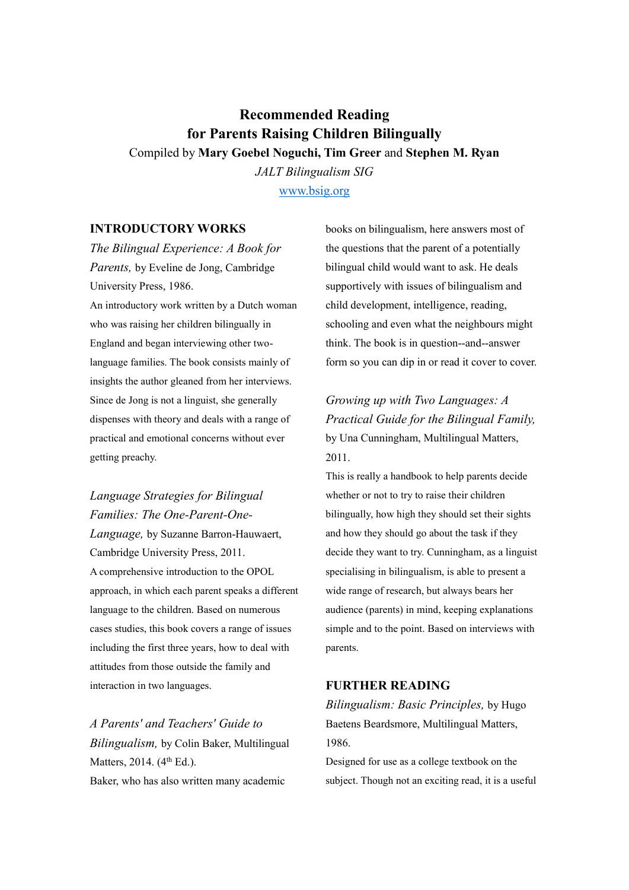# **Recommended Reading for Parents Raising Children Bilingually** Compiled by **Mary Goebel Noguchi, Tim Greer** and **Stephen M. Ryan**

*JALT Bilingualism SIG* [www.bsig.org](http://www.bsig.org/)

## **INTRODUCTORY WORKS**

*The Bilingual Experience: A Book for Parents,* by Eveline de Jong, Cambridge University Press, 1986. An introductory work written by a Dutch woman who was raising her children bilingually in England and began interviewing other twolanguage families. The book consists mainly of insights the author gleaned from her interviews. Since de Jong is not a linguist, she generally dispenses with theory and deals with a range of practical and emotional concerns without ever getting preachy.

*Language Strategies for Bilingual Families: The One-Parent-One-Language,* by Suzanne Barron-Hauwaert, Cambridge University Press, 2011. A comprehensive introduction to the OPOL approach, in which each parent speaks a different language to the children. Based on numerous cases studies, this book covers a range of issues including the first three years, how to deal with attitudes from those outside the family and interaction in two languages.

*A Parents' and Teachers' Guide to Bilingualism,* by Colin Baker, Multilingual Matters, 2014. (4<sup>th</sup> Ed.). Baker, who has also written many academic

books on bilingualism, here answers most of the questions that the parent of a potentially bilingual child would want to ask. He deals supportively with issues of bilingualism and child development, intelligence, reading, schooling and even what the neighbours might think. The book is in question-‐and-‐answer form so you can dip in or read it cover to cover.

*Growing up with Two Languages: A Practical Guide for the Bilingual Family,* by Una Cunningham, Multilingual Matters, 2011.

This is really a handbook to help parents decide whether or not to try to raise their children bilingually, how high they should set their sights and how they should go about the task if they decide they want to try. Cunningham, as a linguist specialising in bilingualism, is able to present a wide range of research, but always bears her audience (parents) in mind, keeping explanations simple and to the point. Based on interviews with parents.

## **FURTHER READING**

*Bilingualism: Basic Principles,* by Hugo Baetens Beardsmore, Multilingual Matters, 1986.

Designed for use as a college textbook on the subject. Though not an exciting read, it is a useful